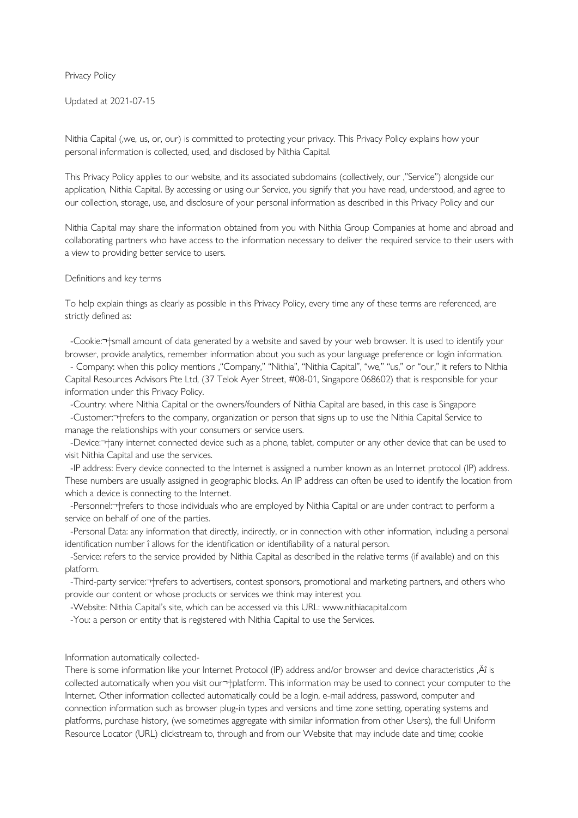Privacy Policy

Updated at 2021-07-15

Nithia Capital ('we, us, or, our) is committed to protecting your privacy. This Privacy Policy explains how your personal information is collected, used, and disclosed by Nithia Capital.

This Privacy Policy applies to our website, and its associated subdomains (collectively, our '"Service") alongside our application, Nithia Capital. By accessing or using our Service, you signify that you have read, understood, and agree to our collection, storage, use, and disclosure of your personal information as described in this Privacy Policy and our

Nithia Capital may share the information obtained from you with Nithia Group Companies at home and abroad and collaborating partners who have access to the information necessary to deliver the required service to their users with a view to providing better service to users.

#### Definitions and key terms

To help explain things as clearly as possible in this Privacy Policy, every time any of these terms are referenced, are strictly defined as:

-Cookie:  $\frac{1}{3}$ small amount of data generated by a website and saved by your web browser. It is used to identify your browser, provide analytics, remember information about you such as your language preference or login information.

- Company: when this policy mentions , "Company," "Nithia", "Nithia Capital", "we," "us," or "our," it refers to Nithia Capital Resources Advisors Pte Ltd, (37 Telok Ayer Street, #08-01, Singapore 068602) that is responsible for your information under this Privacy Policy.

 -Country: where Nithia Capital or the owners/founders of Nithia Capital are based, in this case is Singapore -Customer: +refers to the company, organization or person that signs up to use the Nithia Capital Service to manage the relationships with your consumers or service users.

-Device:  $\tau$ <sup>+</sup>any internet connected device such as a phone, tablet, computer or any other device that can be used to visit Nithia Capital and use the services.

 -IP address: Every device connected to the Internet is assigned a number known as an Internet protocol (IP) address. These numbers are usually assigned in geographic blocks. An IP address can often be used to identify the location from which a device is connecting to the Internet.

-Personnel: -+refers to those individuals who are employed by Nithia Capital or are under contract to perform a service on behalf of one of the parties.

 -Personal Data: any information that directly, indirectly, or in connection with other information, including a personal identification number î allows for the identification or identifiability of a natural person.

 -Service: refers to the service provided by Nithia Capital as described in the relative terms (if available) and on this platform.

-Third-party service: <sup>-+</sup>refers to advertisers, contest sponsors, promotional and marketing partners, and others who provide our content or whose products or services we think may interest you.

-Website: Nithia Capital's site, which can be accessed via this URL: www.nithiacapital.com

-You: a person or entity that is registered with Nithia Capital to use the Services.

Information automatically collected-

There is some information like your Internet Protocol (IP) address and/or browser and device characteristics , A is collected automatically when you visit our  $\neg$ -platform. This information may be used to connect your computer to the Internet. Other information collected automatically could be a login, e-mail address, password, computer and connection information such as browser plug-in types and versions and time zone setting, operating systems and platforms, purchase history, (we sometimes aggregate with similar information from other Users), the full Uniform Resource Locator (URL) clickstream to, through and from our Website that may include date and time; cookie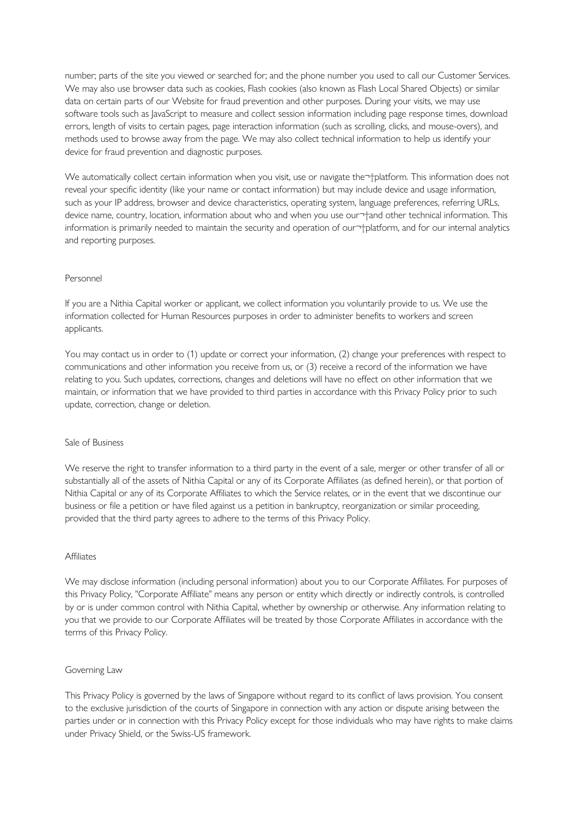number; parts of the site you viewed or searched for; and the phone number you used to call our Customer Services. We may also use browser data such as cookies, Flash cookies (also known as Flash Local Shared Objects) or similar data on certain parts of our Website for fraud prevention and other purposes. During your visits, we may use software tools such as JavaScript to measure and collect session information including page response times, download errors, length of visits to certain pages, page interaction information (such as scrolling, clicks, and mouse-overs), and methods used to browse away from the page. We may also collect technical information to help us identify your device for fraud prevention and diagnostic purposes.

We automatically collect certain information when you visit, use or navigate the <sup>+</sup>blatform. This information does not reveal your specific identity (like your name or contact information) but may include device and usage information, such as your IP address, browser and device characteristics, operating system, language preferences, referring URLs, device name, country, location, information about who and when you use our<sup>-+</sup>and other technical information. This information is primarily needed to maintain the security and operation of our +platform, and for our internal analytics and reporting purposes.

# Personnel

If you are a Nithia Capital worker or applicant, we collect information you voluntarily provide to us. We use the information collected for Human Resources purposes in order to administer benefits to workers and screen applicants.

You may contact us in order to (1) update or correct your information, (2) change your preferences with respect to communications and other information you receive from us, or (3) receive a record of the information we have relating to you. Such updates, corrections, changes and deletions will have no effect on other information that we maintain, or information that we have provided to third parties in accordance with this Privacy Policy prior to such update, correction, change or deletion.

# Sale of Business

We reserve the right to transfer information to a third party in the event of a sale, merger or other transfer of all or substantially all of the assets of Nithia Capital or any of its Corporate Affiliates (as defined herein), or that portion of Nithia Capital or any of its Corporate Affiliates to which the Service relates, or in the event that we discontinue our business or file a petition or have filed against us a petition in bankruptcy, reorganization or similar proceeding, provided that the third party agrees to adhere to the terms of this Privacy Policy.

# **Affiliates**

We may disclose information (including personal information) about you to our Corporate Affiliates. For purposes of this Privacy Policy, "Corporate Affiliate" means any person or entity which directly or indirectly controls, is controlled by or is under common control with Nithia Capital, whether by ownership or otherwise. Any information relating to you that we provide to our Corporate Affiliates will be treated by those Corporate Affiliates in accordance with the terms of this Privacy Policy.

# Governing Law

This Privacy Policy is governed by the laws of Singapore without regard to its conflict of laws provision. You consent to the exclusive jurisdiction of the courts of Singapore in connection with any action or dispute arising between the parties under or in connection with this Privacy Policy except for those individuals who may have rights to make claims under Privacy Shield, or the Swiss-US framework.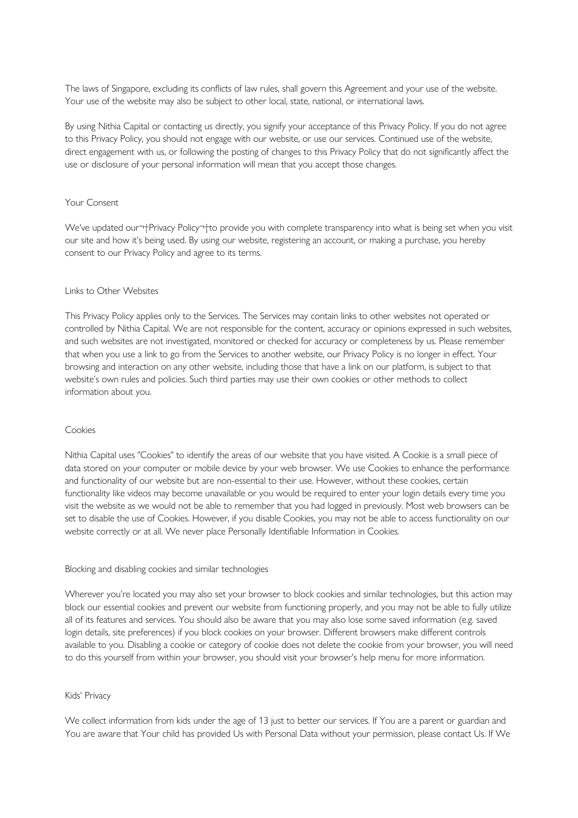The laws of Singapore, excluding its conflicts of law rules, shall govern this Agreement and your use of the website. Your use of the website may also be subject to other local, state, national, or international laws.

By using Nithia Capital or contacting us directly, you signify your acceptance of this Privacy Policy. If you do not agree to this Privacy Policy, you should not engage with our website, or use our services. Continued use of the website, direct engagement with us, or following the posting of changes to this Privacy Policy that do not significantly affect the use or disclosure of your personal information will mean that you accept those changes.

# Your Consent

We've updated our <sup>-</sup> Privacy Policy <sup>-</sup> to provide you with complete transparency into what is being set when you visit our site and how it's being used. By using our website, registering an account, or making a purchase, you hereby consent to our Privacy Policy and agree to its terms.

#### Links to Other Websites

This Privacy Policy applies only to the Services. The Services may contain links to other websites not operated or controlled by Nithia Capital. We are not responsible for the content, accuracy or opinions expressed in such websites, and such websites are not investigated, monitored or checked for accuracy or completeness by us. Please remember that when you use a link to go from the Services to another website, our Privacy Policy is no longer in effect. Your browsing and interaction on any other website, including those that have a link on our platform, is subject to that website's own rules and policies. Such third parties may use their own cookies or other methods to collect information about you.

#### Cookies

Nithia Capital uses "Cookies" to identify the areas of our website that you have visited. A Cookie is a small piece of data stored on your computer or mobile device by your web browser. We use Cookies to enhance the performance and functionality of our website but are non-essential to their use. However, without these cookies, certain functionality like videos may become unavailable or you would be required to enter your login details every time you visit the website as we would not be able to remember that you had logged in previously. Most web browsers can be set to disable the use of Cookies. However, if you disable Cookies, you may not be able to access functionality on our website correctly or at all. We never place Personally Identifiable Information in Cookies.

#### Blocking and disabling cookies and similar technologies

Wherever you're located you may also set your browser to block cookies and similar technologies, but this action may block our essential cookies and prevent our website from functioning properly, and you may not be able to fully utilize all of its features and services. You should also be aware that you may also lose some saved information (e.g. saved login details, site preferences) if you block cookies on your browser. Different browsers make different controls available to you. Disabling a cookie or category of cookie does not delete the cookie from your browser, you will need to do this yourself from within your browser, you should visit your browser's help menu for more information.

# Kids' Privacy

We collect information from kids under the age of 13 just to better our services. If You are a parent or guardian and You are aware that Your child has provided Us with Personal Data without your permission, please contact Us. If We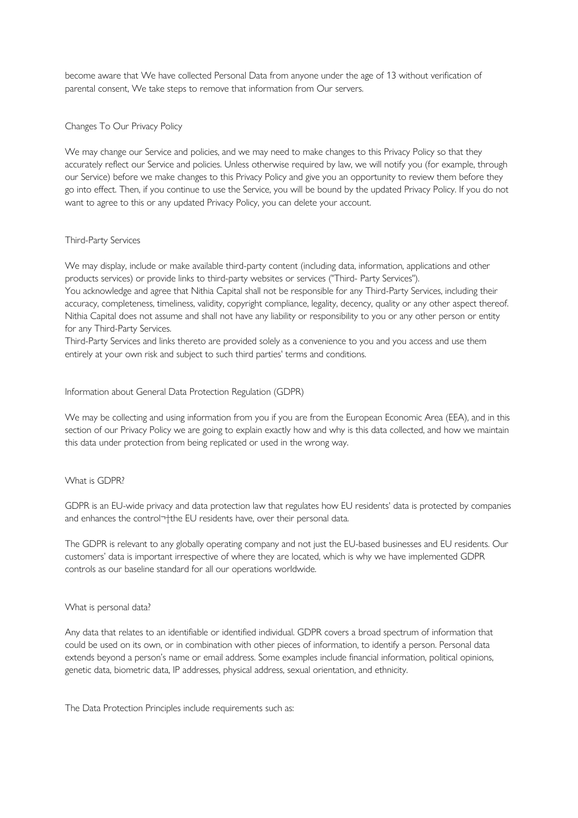become aware that We have collected Personal Data from anyone under the age of 13 without verification of parental consent, We take steps to remove that information from Our servers.

# Changes To Our Privacy Policy

We may change our Service and policies, and we may need to make changes to this Privacy Policy so that they accurately reflect our Service and policies. Unless otherwise required by law, we will notify you (for example, through our Service) before we make changes to this Privacy Policy and give you an opportunity to review them before they go into effect. Then, if you continue to use the Service, you will be bound by the updated Privacy Policy. If you do not want to agree to this or any updated Privacy Policy, you can delete your account.

# Third-Party Services

We may display, include or make available third-party content (including data, information, applications and other products services) or provide links to third-party websites or services ("Third- Party Services").

You acknowledge and agree that Nithia Capital shall not be responsible for any Third-Party Services, including their accuracy, completeness, timeliness, validity, copyright compliance, legality, decency, quality or any other aspect thereof. Nithia Capital does not assume and shall not have any liability or responsibility to you or any other person or entity for any Third-Party Services.

Third-Party Services and links thereto are provided solely as a convenience to you and you access and use them entirely at your own risk and subject to such third parties' terms and conditions.

# Information about General Data Protection Regulation (GDPR)

We may be collecting and using information from you if you are from the European Economic Area (EEA), and in this section of our Privacy Policy we are going to explain exactly how and why is this data collected, and how we maintain this data under protection from being replicated or used in the wrong way.

# What is GDPR?

GDPR is an EU-wide privacy and data protection law that regulates how EU residents' data is protected by companies and enhances the control<sup>-+</sup>the EU residents have, over their personal data.

The GDPR is relevant to any globally operating company and not just the EU-based businesses and EU residents. Our customers' data is important irrespective of where they are located, which is why we have implemented GDPR controls as our baseline standard for all our operations worldwide.

# What is personal data?

Any data that relates to an identifiable or identified individual. GDPR covers a broad spectrum of information that could be used on its own, or in combination with other pieces of information, to identify a person. Personal data extends beyond a person's name or email address. Some examples include financial information, political opinions, genetic data, biometric data, IP addresses, physical address, sexual orientation, and ethnicity.

The Data Protection Principles include requirements such as: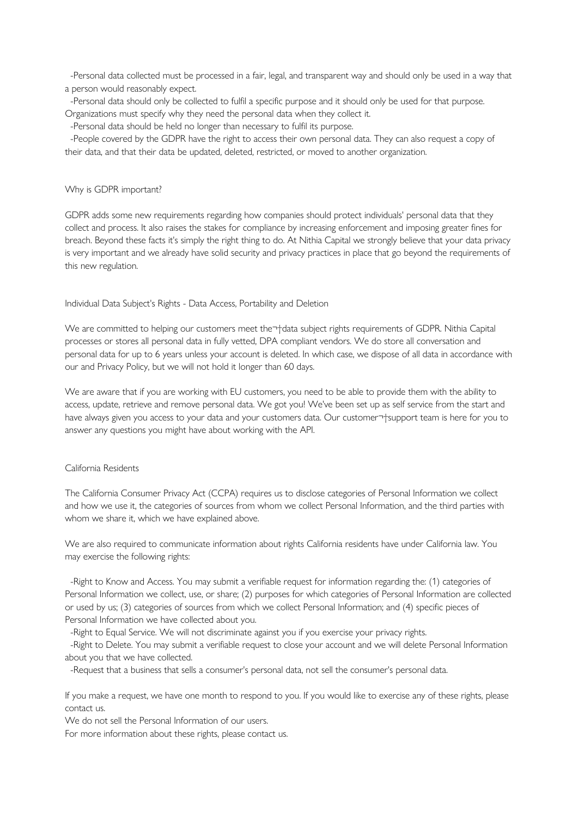-Personal data collected must be processed in a fair, legal, and transparent way and should only be used in a way that a person would reasonably expect.

 -Personal data should only be collected to fulfil a specific purpose and it should only be used for that purpose. Organizations must specify why they need the personal data when they collect it.

-Personal data should be held no longer than necessary to fulfil its purpose.

 -People covered by the GDPR have the right to access their own personal data. They can also request a copy of their data, and that their data be updated, deleted, restricted, or moved to another organization.

#### Why is GDPR important?

GDPR adds some new requirements regarding how companies should protect individuals' personal data that they collect and process. It also raises the stakes for compliance by increasing enforcement and imposing greater fines for breach. Beyond these facts it's simply the right thing to do. At Nithia Capital we strongly believe that your data privacy is very important and we already have solid security and privacy practices in place that go beyond the requirements of this new regulation.

# Individual Data Subject's Rights - Data Access, Portability and Deletion

We are committed to helping our customers meet the <sup>-+</sup>data subject rights requirements of GDPR. Nithia Capital processes or stores all personal data in fully vetted, DPA compliant vendors. We do store all conversation and personal data for up to 6 years unless your account is deleted. In which case, we dispose of all data in accordance with our and Privacy Policy, but we will not hold it longer than 60 days.

We are aware that if you are working with EU customers, you need to be able to provide them with the ability to access, update, retrieve and remove personal data. We got you! We've been set up as self service from the start and have always given you access to your data and your customers data. Our customer-+support team is here for you to answer any questions you might have about working with the API.

# California Residents

The California Consumer Privacy Act (CCPA) requires us to disclose categories of Personal Information we collect and how we use it, the categories of sources from whom we collect Personal Information, and the third parties with whom we share it, which we have explained above.

We are also required to communicate information about rights California residents have under California law. You may exercise the following rights:

 -Right to Know and Access. You may submit a verifiable request for information regarding the: (1) categories of Personal Information we collect, use, or share; (2) purposes for which categories of Personal Information are collected or used by us; (3) categories of sources from which we collect Personal Information; and (4) specific pieces of Personal Information we have collected about you.

-Right to Equal Service. We will not discriminate against you if you exercise your privacy rights.

 -Right to Delete. You may submit a verifiable request to close your account and we will delete Personal Information about you that we have collected.

-Request that a business that sells a consumer's personal data, not sell the consumer's personal data.

If you make a request, we have one month to respond to you. If you would like to exercise any of these rights, please contact us.

We do not sell the Personal Information of our users.

For more information about these rights, please contact us.